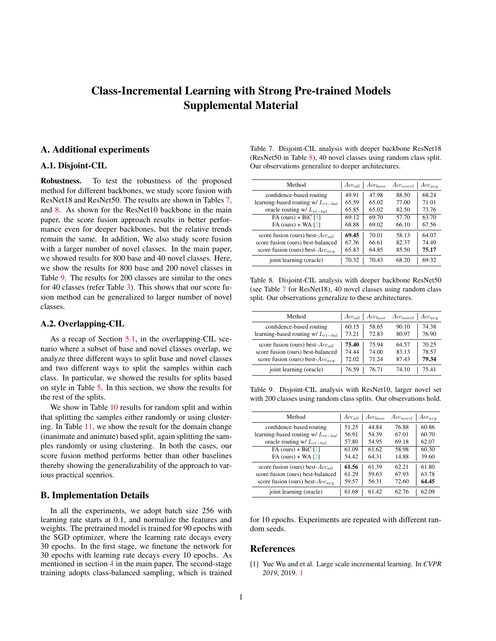# <span id="page-0-4"></span>Class-Incremental Learning with Strong Pre-trained Models Supplemental Material

## A. Additional experiments

## A.1. Disjoint-CIL

Robustness. To test the robustness of the proposed method for different backbones, we study score fusion with ResNet18 and ResNet50. The results are shown in Tables [7,](#page-0-0) and [8.](#page-0-1) As shown for the ResNet10 backbone in the main paper, the score fusion approach results in better performance even for deeper backbones, but the relative trends remain the same. In addition, We also study score fusion with a larger number of novel classes. In the main paper, we showed results for 800 base and 40 novel classes. Here, we show the results for 800 base and 200 novel classes in Table [9.](#page-0-2) The results for 200 classes are similar to the ones for 40 classes (refer Table 3). This shows that our score fusion method can be generalized to larger number of novel classes.

## A.2. Overlapping-CIL

As a recap of Section 5.1, in the overlapping-CIL scenario where a subset of base and novel classes overlap, we analyze three different ways to split base and novel classes and two different ways to split the samples within each class. In particular, we showed the results for splits based on style in Table 5. In this section, we show the results for the rest of the splits.

We show in Table [10](#page-1-0) results for random split and within that splitting the samples either randomly or using clustering. In Table [11,](#page-1-1) we show the result for the domain change (inanimate and animate) based split, again splitting the samples randomly or using clustering. In both the cases, our score fusion method performs better than other baselines thereby showing the generalizability of the approach to various practical scenrios.

### B. Implementation Details

In all the experiments, we adopt batch size 256 with learning rate starts at 0.1, and normalize the features and weights. The pretrained model is trained for 90 epochs with the SGD optimizer, where the learning rate decays every 30 epochs. In the first stage, we finetune the network for 30 epochs with learning rate decays every 10 epochs. As mentioned in section 4 in the main paper, The second-stage training adopts class-balanced sampling, which is trained

<span id="page-0-0"></span>

| Table 7. Disjoint-CIL analysis with deeper backbone ResNet18      |  |
|-------------------------------------------------------------------|--|
| (ResNet50 in Table 8), 40 novel classes using random class split. |  |
| Our observations generalize to deeper architectures.              |  |

| Method                                  | $Acc_{all}$ | $Acc_{base}$ | $Acc_{novel}$ | $Acc_{avg}$ |
|-----------------------------------------|-------------|--------------|---------------|-------------|
| confidence-based routing                | 49.91       | 47.98        | 88.50         | 68.24       |
| learning-based routing w/ $L_{rt-ball}$ | 65.59       | 65.02        | 77.00         | 71.01       |
| oracle routing w/ $L_{rt-ball}$         | 65.85       | 65.02        | 82.50         | 73.76       |
| $FA$ (ours) + BiC [1]                   | 69.12       | 69.70        | 57.70         | 63.70       |
| $FA$ (ours) + WA $[2]$                  | 68.88       | 69.02        | 66.10         | 67.56       |
| score fusion (ours) best- $Acc_{all}$   | 69.45       | 70.01        | 58.13         | 64.07       |
| score fusion (ours) best-balanced       | 67.36       | 66.61        | 82.37         | 74.49       |
| score fusion (ours) best- $Acc_{ava}$   | 65.83       | 64.85        | 85.50         | 75.17       |
| joint learning (oracle)                 | 70.32       | 70.43        | 68.20         | 69.32       |

<span id="page-0-1"></span>Table 8. Disjoint-CIL analysis with deeper backbone ResNet50 (see Table [7](#page-0-0) for ResNet18), 40 novel classes using random class split. Our observations generalize to these architectures.

| Method                                  | $Acc_{all}$ | $Acc_{base}$ | $Acc_{novel}$ | $Acc_{avg}$ |
|-----------------------------------------|-------------|--------------|---------------|-------------|
| confidence-based routing                | 60.15       | 58.65        | 90.10         | 74.38       |
| learning-based routing w/ $L_{rt-ball}$ | 73.21       | 72.83        | 80.97         | 76.90       |
| score fusion (ours) best- $Acc_{all}$   | 75.40       | 7594         | 64.57         | 70.25       |
| score fusion (ours) best-balanced       | 74.44       | 74.00        | 83.13         | 78.57       |
| score fusion (ours) best- $Acc_{awa}$   | 72.02       | 71 24        | 87.43         | 79.34       |
| joint learning (oracle)                 | 76.59       | 7671         | 74 10         | 7541        |

<span id="page-0-2"></span>Table 9. Disjoint-CIL analysis with ResNet10, larger novel set with 200 classes using random class splits. Our observations hold.

| Method                                  | $Acc_{all}$ | $Acc_{base}$ | $Acc_{novel}$ | $Acc_{avg}$ |
|-----------------------------------------|-------------|--------------|---------------|-------------|
| confidence-based routing                | 51.25       | 44.84        | 76.88         | 60.86       |
| learning-based routing w/ $L_{rt-ball}$ | 56.91       | 54.39        | 67.01         | 60.70       |
| oracle routing w/ $L_{rt-ball}$         | 57.80       | 54.95        | 69.18         | 62.07       |
| $FA$ (ours) + BiC [1]                   | 61.09       | 61.62        | 58.98         | 60.30       |
| $FA$ (ours) + WA $[2]$                  | 54.42       | 64.31        | 14.88         | 39.60       |
| score fusion (ours) best- $Acc_{all}$   | 61.56       | 61.39        | 62.21         | 61.80       |
| score fusion (ours) best-balanced       | 61.29       | 59.63        | 67.93         | 63.78       |
| score fusion (ours) best- $Acc_{avg}$   | 59.57       | 56.31        | 72.60         | 64.45       |
| joint learning (oracle)                 | 61.68       | 61.42        | 62.76         | 62.09       |

for 10 epochs. Experiments are repeated with different random seeds.

#### References

<span id="page-0-3"></span>[1] Yue Wu and et al. Large scale incremental learning. In *CVPR 2019*, 2019. [1](#page-0-4)